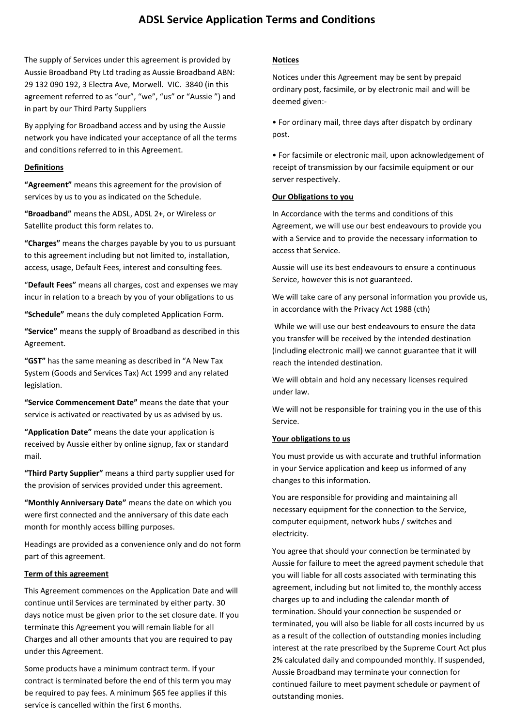# **ADSL Service Application Terms and Conditions**

The supply of Services under this agreement is provided by Aussie Broadband Pty Ltd trading as Aussie Broadband ABN: 29 132 090 192, 3 Electra Ave, Morwell. VIC. 3840 (in this agreement referred to as "our", "we", "us" or "Aussie ") and in part by our Third Party Suppliers

By applying for Broadband access and by using the Aussie network you have indicated your acceptance of all the terms and conditions referred to in this Agreement.

#### **Definitions**

**"Agreement"** means this agreement for the provision of services by us to you as indicated on the Schedule.

**"Broadband"** means the ADSL, ADSL 2+, or Wireless or Satellite product this form relates to.

**"Charges"** means the charges payable by you to us pursuant to this agreement including but not limited to, installation, access, usage, Default Fees, interest and consulting fees.

"**Default Fees"** means all charges, cost and expenses we may incur in relation to a breach by you of your obligations to us

**"Schedule"** means the duly completed Application Form.

**"Service"** means the supply of Broadband as described in this Agreement.

**"GST"** has the same meaning as described in "A New Tax System (Goods and Services Tax) Act 1999 and any related legislation.

**"Service Commencement Date"** means the date that your service is activated or reactivated by us as advised by us.

**"Application Date"** means the date your application is received by Aussie either by online signup, fax or standard mail.

**"Third Party Supplier"** means a third party supplier used for the provision of services provided under this agreement.

**"Monthly Anniversary Date"** means the date on which you were first connected and the anniversary of this date each month for monthly access billing purposes.

Headings are provided as a convenience only and do not form part of this agreement.

#### **Term of this agreement**

This Agreement commences on the Application Date and will continue until Services are terminated by either party. 30 days notice must be given prior to the set closure date. If you terminate this Agreement you will remain liable for all Charges and all other amounts that you are required to pay under this Agreement.

Some products have a minimum contract term. If your contract is terminated before the end of this term you may be required to pay fees. A minimum \$65 fee applies if this service is cancelled within the first 6 months.

## **Notices**

Notices under this Agreement may be sent by prepaid ordinary post, facsimile, or by electronic mail and will be deemed given:-

• For ordinary mail, three days after dispatch by ordinary post.

• For facsimile or electronic mail, upon acknowledgement of receipt of transmission by our facsimile equipment or our server respectively.

#### **Our Obligations to you**

In Accordance with the terms and conditions of this Agreement, we will use our best endeavours to provide you with a Service and to provide the necessary information to access that Service.

Aussie will use its best endeavours to ensure a continuous Service, however this is not guaranteed.

We will take care of any personal information you provide us, in accordance with the Privacy Act 1988 (cth)

While we will use our best endeavours to ensure the data you transfer will be received by the intended destination (including electronic mail) we cannot guarantee that it will reach the intended destination.

We will obtain and hold any necessary licenses required under law.

We will not be responsible for training you in the use of this Service.

#### **Your obligations to us**

You must provide us with accurate and truthful information in your Service application and keep us informed of any changes to this information.

You are responsible for providing and maintaining all necessary equipment for the connection to the Service, computer equipment, network hubs / switches and electricity.

You agree that should your connection be terminated by Aussie for failure to meet the agreed payment schedule that you will liable for all costs associated with terminating this agreement, including but not limited to, the monthly access charges up to and including the calendar month of termination. Should your connection be suspended or terminated, you will also be liable for all costs incurred by us as a result of the collection of outstanding monies including interest at the rate prescribed by the Supreme Court Act plus 2% calculated daily and compounded monthly. If suspended, Aussie Broadband may terminate your connection for continued failure to meet payment schedule or payment of outstanding monies.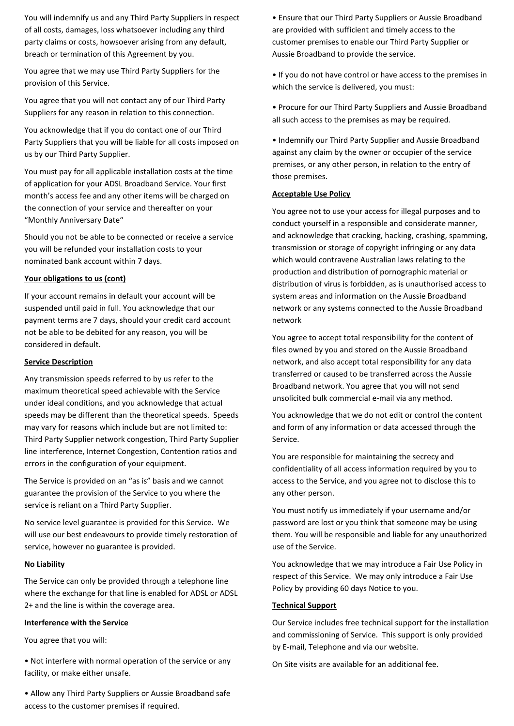You will indemnify us and any Third Party Suppliers in respect of all costs, damages, loss whatsoever including any third party claims or costs, howsoever arising from any default, breach or termination of this Agreement by you.

You agree that we may use Third Party Suppliers for the provision of this Service.

You agree that you will not contact any of our Third Party Suppliers for any reason in relation to this connection.

You acknowledge that if you do contact one of our Third Party Suppliers that you will be liable for all costs imposed on us by our Third Party Supplier.

You must pay for all applicable installation costs at the time of application for your ADSL Broadband Service. Your first month's access fee and any other items will be charged on the connection of your service and thereafter on your "Monthly Anniversary Date"

Should you not be able to be connected or receive a service you will be refunded your installation costs to your nominated bank account within 7 days.

## **Your obligations to us (cont)**

If your account remains in default your account will be suspended until paid in full. You acknowledge that our payment terms are 7 days, should your credit card account not be able to be debited for any reason, you will be considered in default.

#### **Service Description**

Any transmission speeds referred to by us refer to the maximum theoretical speed achievable with the Service under ideal conditions, and you acknowledge that actual speeds may be different than the theoretical speeds. Speeds may vary for reasons which include but are not limited to: Third Party Supplier network congestion, Third Party Supplier line interference, Internet Congestion, Contention ratios and errors in the configuration of your equipment.

The Service is provided on an "as is" basis and we cannot guarantee the provision of the Service to you where the service is reliant on a Third Party Supplier.

No service level guarantee is provided for this Service. We will use our best endeavours to provide timely restoration of service, however no guarantee is provided.

#### **No Liability**

The Service can only be provided through a telephone line where the exchange for that line is enabled for ADSL or ADSL 2+ and the line is within the coverage area.

## **Interference with the Service**

You agree that you will:

• Not interfere with normal operation of the service or any facility, or make either unsafe.

• Allow any Third Party Suppliers or Aussie Broadband safe access to the customer premises if required.

• Ensure that our Third Party Suppliers or Aussie Broadband are provided with sufficient and timely access to the customer premises to enable our Third Party Supplier or Aussie Broadband to provide the service.

• If you do not have control or have access to the premises in which the service is delivered, you must:

• Procure for our Third Party Suppliers and Aussie Broadband all such access to the premises as may be required.

• Indemnify our Third Party Supplier and Aussie Broadband against any claim by the owner or occupier of the service premises, or any other person, in relation to the entry of those premises.

#### **Acceptable Use Policy**

You agree not to use your access for illegal purposes and to conduct yourself in a responsible and considerate manner, and acknowledge that cracking, hacking, crashing, spamming, transmission or storage of copyright infringing or any data which would contravene Australian laws relating to the production and distribution of pornographic material or distribution of virus is forbidden, as is unauthorised access to system areas and information on the Aussie Broadband network or any systems connected to the Aussie Broadband network

You agree to accept total responsibility for the content of files owned by you and stored on the Aussie Broadband network, and also accept total responsibility for any data transferred or caused to be transferred across the Aussie Broadband network. You agree that you will not send unsolicited bulk commercial e-mail via any method.

You acknowledge that we do not edit or control the content and form of any information or data accessed through the Service.

You are responsible for maintaining the secrecy and confidentiality of all access information required by you to access to the Service, and you agree not to disclose this to any other person.

You must notify us immediately if your username and/or password are lost or you think that someone may be using them. You will be responsible and liable for any unauthorized use of the Service.

You acknowledge that we may introduce a Fair Use Policy in respect of this Service. We may only introduce a Fair Use Policy by providing 60 days Notice to you.

#### **Technical Support**

Our Service includes free technical support for the installation and commissioning of Service. This support is only provided by E-mail, Telephone and via our website.

On Site visits are available for an additional fee.